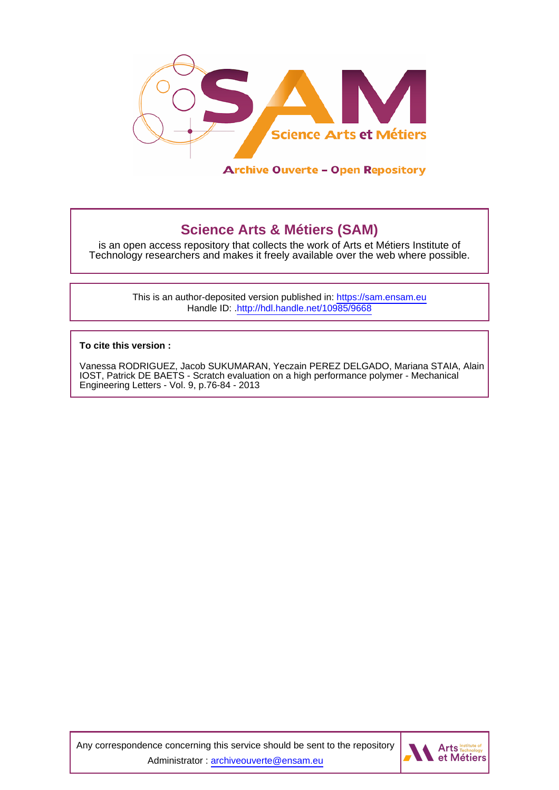

# **Science Arts & Métiers (SAM)**

is an open access repository that collects the work of Arts et Métiers Institute of Technology researchers and makes it freely available over the web where possible.

> This is an author-deposited version published in:<https://sam.ensam.eu> Handle ID: [.http://hdl.handle.net/10985/9668](http://hdl.handle.net/10985/9668)

**To cite this version :**

Vanessa RODRIGUEZ, Jacob SUKUMARAN, Yeczain PEREZ DELGADO, Mariana STAIA, Alain IOST, Patrick DE BAETS - Scratch evaluation on a high performance polymer - Mechanical Engineering Letters - Vol. 9, p.76-84 - 2013

Any correspondence concerning this service should be sent to the repository Administrator : [archiveouverte@ensam.eu](mailto:archiveouverte@ensam.eu)

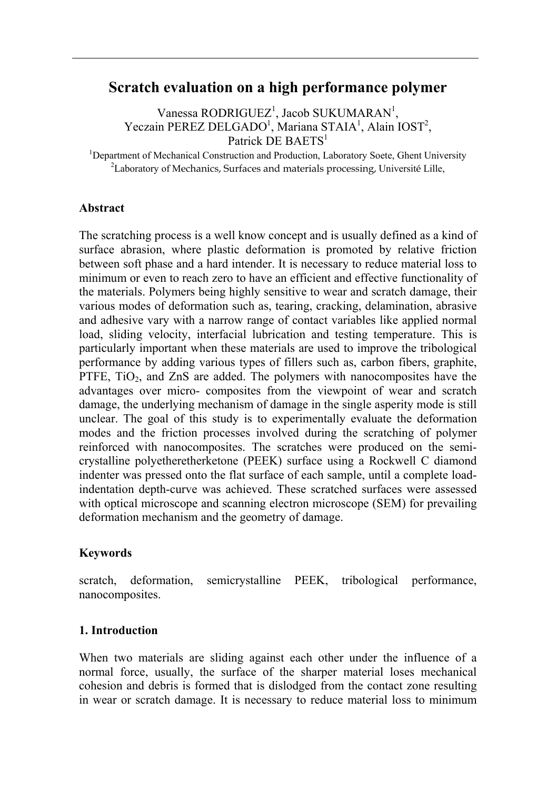# **Scratch evaluation on a high performance polymer**

 $V$ anessa RODRIGUEZ<sup>1</sup>, Jacob SUKUMARAN<sup>1</sup>, Yeczain PEREZ DELGADO<sup>1</sup>, Mariana STAIA<sup>1</sup>, Alain IOST<sup>2</sup>, Patrick DE BAETS<sup>1</sup>

<sup>1</sup>Department of Mechanical Construction and Production, Laboratory Soete, Ghent University  $\frac{2I}{r}$  aboratory of Mechanica, Surfaces and materials processing. University Lilla  ${}^{2}$ Laboratory of Mechanics, Surfaces and materials processing, Université Lille,

# **Abstract**

The scratching process is a well know concept and is usually defined as a kind of surface abrasion, where plastic deformation is promoted by relative friction between soft phase and a hard intender. It is necessary to reduce material loss to minimum or even to reach zero to have an efficient and effective functionality of the materials. Polymers being highly sensitive to wear and scratch damage, their various modes of deformation such as, tearing, cracking, delamination, abrasive and adhesive vary with a narrow range of contact variables like applied normal load, sliding velocity, interfacial lubrication and testing temperature. This is particularly important when these materials are used to improve the tribological performance by adding various types of fillers such as, carbon fibers, graphite, PTFE,  $TiO<sub>2</sub>$ , and  $ZnS$  are added. The polymers with nanocomposites have the advantages over micro- composites from the viewpoint of wear and scratch damage, the underlying mechanism of damage in the single asperity mode is still unclear. The goal of this study is to experimentally evaluate the deformation modes and the friction processes involved during the scratching of polymer reinforced with nanocomposites. The scratches were produced on the semicrystalline polyetheretherketone (PEEK) surface using a Rockwell C diamond indenter was pressed onto the flat surface of each sample, until a complete loadindentation depth-curve was achieved. These scratched surfaces were assessed with optical microscope and scanning electron microscope (SEM) for prevailing deformation mechanism and the geometry of damage.

# **Keywords**

scratch, deformation, semicrystalline PEEK, tribological performance, nanocomposites.

#### **1. Introduction**

When two materials are sliding against each other under the influence of a normal force, usually, the surface of the sharper material loses mechanical cohesion and debris is formed that is dislodged from the contact zone resulting in wear or scratch damage. It is necessary to reduce material loss to minimum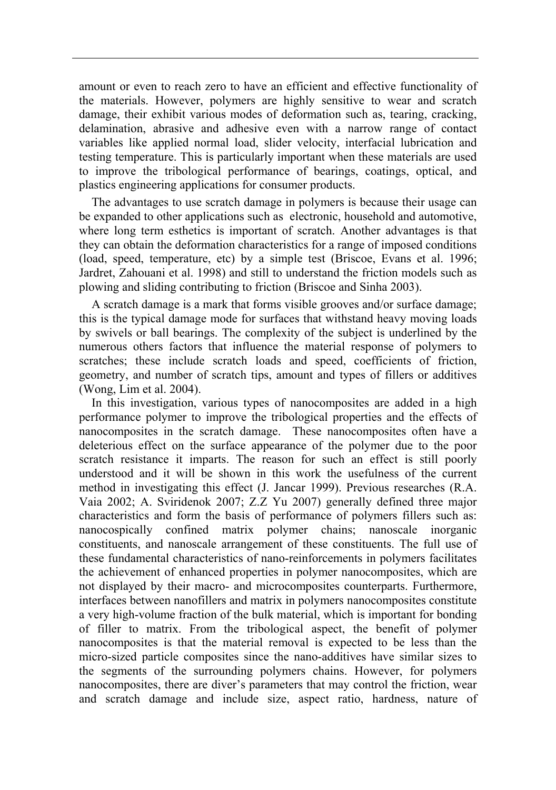amount or even to reach zero to have an efficient and effective functionality of the materials. However, polymers are highly sensitive to wear and scratch damage, their exhibit various modes of deformation such as, tearing, cracking, delamination, abrasive and adhesive even with a narrow range of contact variables like applied normal load, slider velocity, interfacial lubrication and testing temperature. This is particularly important when these materials are used to improve the tribological performance of bearings, coatings, optical, and plastics engineering applications for consumer products.

The advantages to use scratch damage in polymers is because their usage can be expanded to other applications such as electronic, household and automotive, where long term esthetics is important of scratch. Another advantages is that they can obtain the deformation characteristics for a range of imposed conditions (load, speed, temperature, etc) by a simple test (Briscoe, Evans et al. 1996; Jardret, Zahouani et al. 1998) and still to understand the friction models such as plowing and sliding contributing to friction (Briscoe and Sinha 2003).

A scratch damage is a mark that forms visible grooves and/or surface damage; this is the typical damage mode for surfaces that withstand heavy moving loads by swivels or ball bearings. The complexity of the subject is underlined by the numerous others factors that influence the material response of polymers to scratches; these include scratch loads and speed, coefficients of friction, geometry, and number of scratch tips, amount and types of fillers or additives (Wong, Lim et al. 2004).

In this investigation, various types of nanocomposites are added in a high performance polymer to improve the tribological properties and the effects of nanocomposites in the scratch damage. These nanocomposites often have a deleterious effect on the surface appearance of the polymer due to the poor scratch resistance it imparts. The reason for such an effect is still poorly understood and it will be shown in this work the usefulness of the current method in investigating this effect (J. Jancar 1999). Previous researches (R.A. Vaia 2002; A. Sviridenok 2007; Z.Z Yu 2007) generally defined three major characteristics and form the basis of performance of polymers fillers such as: nanocospically confined matrix polymer chains; nanoscale inorganic constituents, and nanoscale arrangement of these constituents. The full use of these fundamental characteristics of nano-reinforcements in polymers facilitates the achievement of enhanced properties in polymer nanocomposites, which are not displayed by their macro- and microcomposites counterparts. Furthermore, interfaces between nanofillers and matrix in polymers nanocomposites constitute a very high-volume fraction of the bulk material, which is important for bonding of filler to matrix. From the tribological aspect, the benefit of polymer nanocomposites is that the material removal is expected to be less than the micro-sized particle composites since the nano-additives have similar sizes to the segments of the surrounding polymers chains. However, for polymers nanocomposites, there are diver's parameters that may control the friction, wear and scratch damage and include size, aspect ratio, hardness, nature of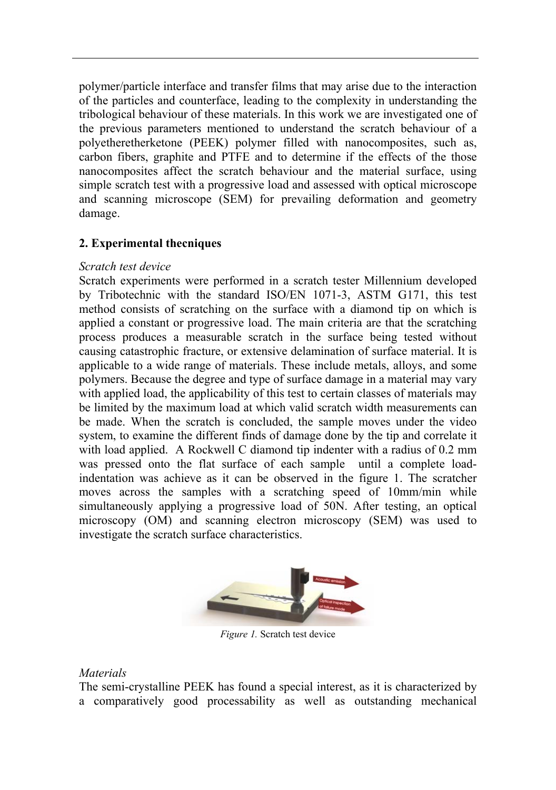polymer/particle interface and transfer films that may arise due to the interaction of the particles and counterface, leading to the complexity in understanding the tribological behaviour of these materials. In this work we are investigated one of the previous parameters mentioned to understand the scratch behaviour of a polyetheretherketone (PEEK) polymer filled with nanocomposites, such as, carbon fibers, graphite and PTFE and to determine if the effects of the those nanocomposites affect the scratch behaviour and the material surface, using simple scratch test with a progressive load and assessed with optical microscope and scanning microscope (SEM) for prevailing deformation and geometry damage.

# **2. Experimental thecniques**

#### *Scratch test device*

Scratch experiments were performed in a scratch tester Millennium developed by Tribotechnic with the standard ISO/EN 1071-3, ASTM G171, this test method consists of scratching on the surface with a diamond tip on which is applied a constant or progressive load. The main criteria are that the scratching process produces a measurable scratch in the surface being tested without causing catastrophic fracture, or extensive delamination of surface material. It is applicable to a wide range of materials. These include metals, alloys, and some polymers. Because the degree and type of surface damage in a material may vary with applied load, the applicability of this test to certain classes of materials may be limited by the maximum load at which valid scratch width measurements can be made. When the scratch is concluded, the sample moves under the video system, to examine the different finds of damage done by the tip and correlate it with load applied. A Rockwell C diamond tip indenter with a radius of 0.2 mm was pressed onto the flat surface of each sample until a complete loadindentation was achieve as it can be observed in the figure 1. The scratcher moves across the samples with a scratching speed of 10mm/min while simultaneously applying a progressive load of 50N. After testing, an optical microscopy (OM) and scanning electron microscopy (SEM) was used to investigate the scratch surface characteristics.



*Figure 1.* Scratch test device

#### *Materials*

The semi-crystalline PEEK has found a special interest, as it is characterized by a comparatively good processability as well as outstanding mechanical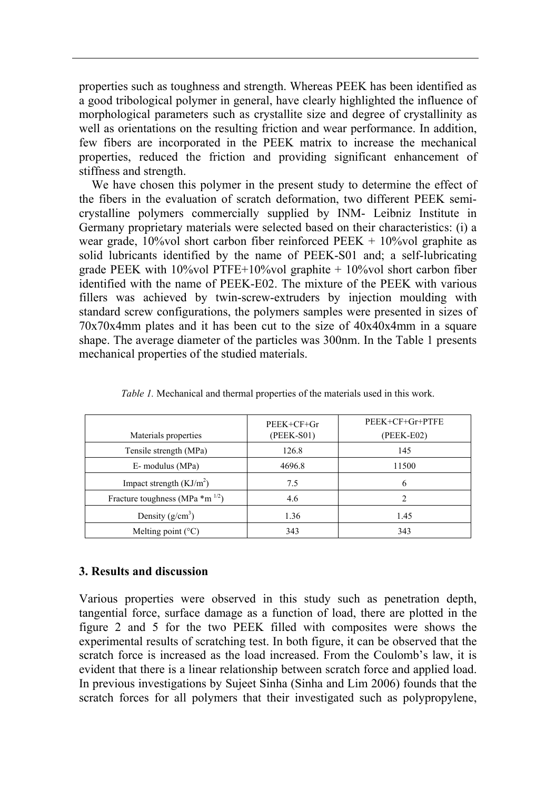properties such as toughness and strength. Whereas PEEK has been identified as a good tribological polymer in general, have clearly highlighted the influence of morphological parameters such as crystallite size and degree of crystallinity as well as orientations on the resulting friction and wear performance. In addition, few fibers are incorporated in the PEEK matrix to increase the mechanical properties, reduced the friction and providing significant enhancement of stiffness and strength.

We have chosen this polymer in the present study to determine the effect of the fibers in the evaluation of scratch deformation, two different PEEK semicrystalline polymers commercially supplied by INM- Leibniz Institute in Germany proprietary materials were selected based on their characteristics: (i) a wear grade,  $10\%$ vol short carbon fiber reinforced PEEK +  $10\%$ vol graphite as solid lubricants identified by the name of PEEK-S01 and; a self-lubricating grade PEEK with 10%vol PTFE+10%vol graphite  $+10\%$ vol short carbon fiber identified with the name of PEEK-E02. The mixture of the PEEK with various fillers was achieved by twin-screw-extruders by injection moulding with standard screw configurations, the polymers samples were presented in sizes of 70x70x4mm plates and it has been cut to the size of 40x40x4mm in a square shape. The average diameter of the particles was 300nm. In the Table 1 presents mechanical properties of the studied materials.

| Materials properties                           | $PEEK + CF + Gr$<br>(PEEK-S01) | PEEK+CF+Gr+PTFE<br>(PEEK-E02) |
|------------------------------------------------|--------------------------------|-------------------------------|
| Tensile strength (MPa)                         | 126.8                          | 145                           |
| E- modulus (MPa)                               | 4696.8                         | 11500                         |
| Impact strength $(KJ/m2)$                      | 7.5                            | 6                             |
| Fracture toughness (MPa $*$ m <sup>1/2</sup> ) | 4.6                            |                               |
| Density $(g/cm^3)$                             | 1.36                           | 1.45                          |
| Melting point $(^{\circ}C)$                    | 343                            | 343                           |

*Table 1.* Mechanical and thermal properties of the materials used in this work.

#### **3. Results and discussion**

Various properties were observed in this study such as penetration depth, tangential force, surface damage as a function of load, there are plotted in the figure 2 and 5 for the two PEEK filled with composites were shows the experimental results of scratching test. In both figure, it can be observed that the scratch force is increased as the load increased. From the Coulomb's law, it is evident that there is a linear relationship between scratch force and applied load. In previous investigations by Sujeet Sinha (Sinha and Lim 2006) founds that the scratch forces for all polymers that their investigated such as polypropylene,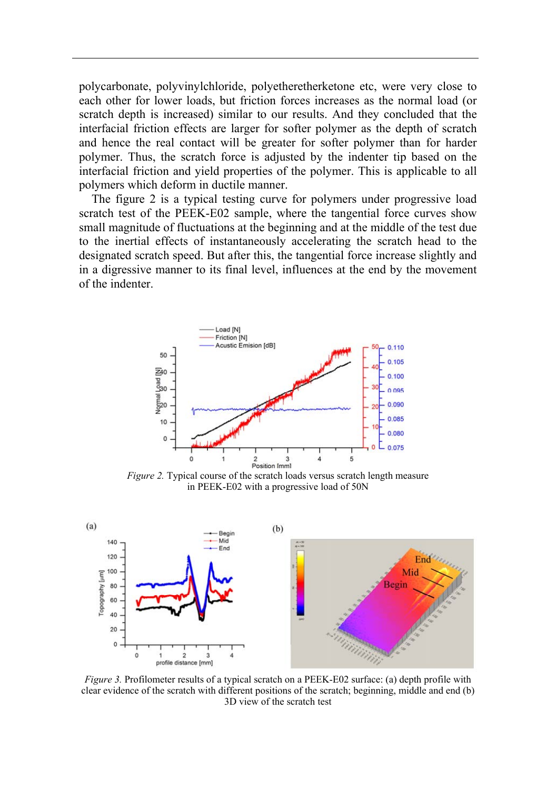polycarbonate, polyvinylchloride, polyetheretherketone etc, were very close to each other for lower loads, but friction forces increases as the normal load (or scratch depth is increased) similar to our results. And they concluded that the interfacial friction effects are larger for softer polymer as the depth of scratch and hence the real contact will be greater for softer polymer than for harder polymer. Thus, the scratch force is adjusted by the indenter tip based on the interfacial friction and yield properties of the polymer. This is applicable to all polymers which deform in ductile manner.

The figure 2 is a typical testing curve for polymers under progressive load scratch test of the PEEK-E02 sample, where the tangential force curves show small magnitude of fluctuations at the beginning and at the middle of the test due to the inertial effects of instantaneously accelerating the scratch head to the designated scratch speed. But after this, the tangential force increase slightly and in a digressive manner to its final level, influences at the end by the movement of the indenter.



*Figure 2.* Typical course of the scratch loads versus scratch length measure in PEEK-E02 with a progressive load of 50N



*Figure 3.* Profilometer results of a typical scratch on a PEEK-E02 surface: (a) depth profile with clear evidence of the scratch with different positions of the scratch; beginning, middle and end (b) 3D view of the scratch test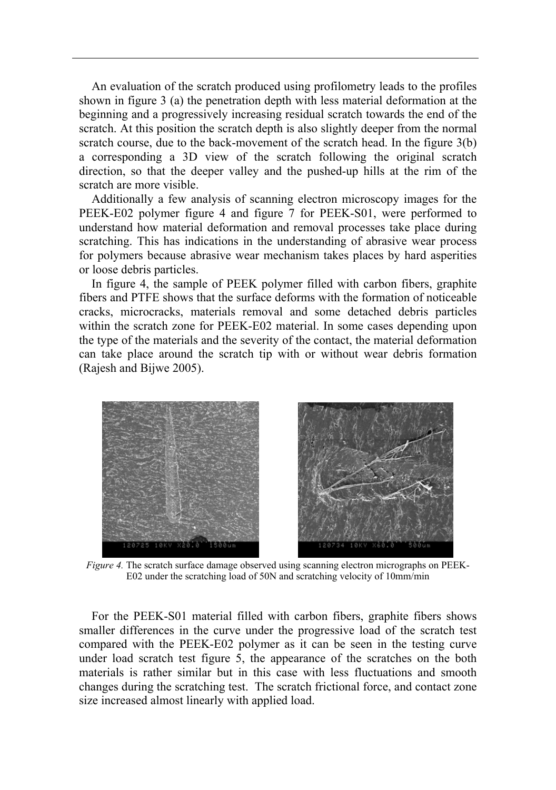An evaluation of the scratch produced using profilometry leads to the profiles shown in figure 3 (a) the penetration depth with less material deformation at the beginning and a progressively increasing residual scratch towards the end of the scratch. At this position the scratch depth is also slightly deeper from the normal scratch course, due to the back-movement of the scratch head. In the figure 3(b) a corresponding a 3D view of the scratch following the original scratch direction, so that the deeper valley and the pushed-up hills at the rim of the scratch are more visible.

Additionally a few analysis of scanning electron microscopy images for the PEEK-E02 polymer figure 4 and figure 7 for PEEK-S01, were performed to understand how material deformation and removal processes take place during scratching. This has indications in the understanding of abrasive wear process for polymers because abrasive wear mechanism takes places by hard asperities or loose debris particles.

In figure 4, the sample of PEEK polymer filled with carbon fibers, graphite fibers and PTFE shows that the surface deforms with the formation of noticeable cracks, microcracks, materials removal and some detached debris particles within the scratch zone for PEEK-E02 material. In some cases depending upon the type of the materials and the severity of the contact, the material deformation can take place around the scratch tip with or without wear debris formation (Rajesh and Bijwe 2005).



*Figure 4.* The scratch surface damage observed using scanning electron micrographs on PEEK-E02 under the scratching load of 50N and scratching velocity of 10mm/min

For the PEEK-S01 material filled with carbon fibers, graphite fibers shows smaller differences in the curve under the progressive load of the scratch test compared with the PEEK-E02 polymer as it can be seen in the testing curve under load scratch test figure 5, the appearance of the scratches on the both materials is rather similar but in this case with less fluctuations and smooth changes during the scratching test. The scratch frictional force, and contact zone size increased almost linearly with applied load.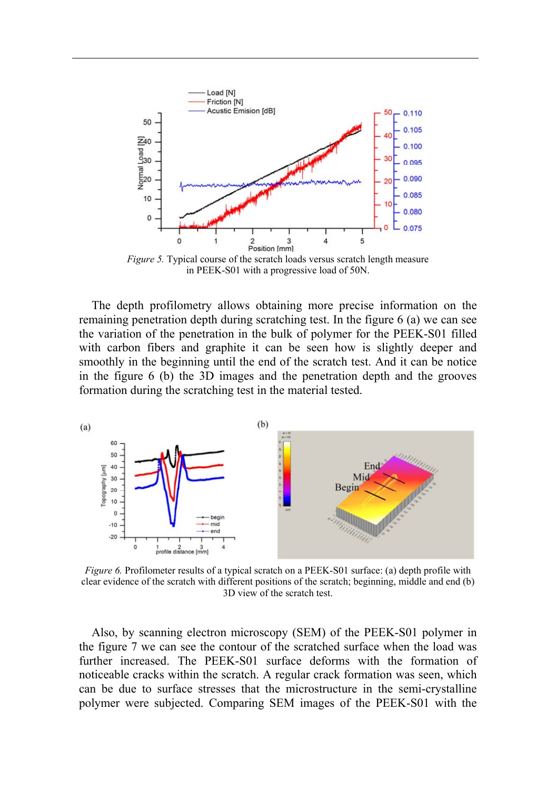

in PEEK-S01 with a progressive load of 50N.

The depth profilometry allows obtaining more precise information on the remaining penetration depth during scratching test. In the figure 6 (a) we can see the variation of the penetration in the bulk of polymer for the PEEK-S01 filled with carbon fibers and graphite it can be seen how is slightly deeper and smoothly in the beginning until the end of the scratch test. And it can be notice in the figure 6 (b) the 3D images and the penetration depth and the grooves formation during the scratching test in the material tested.



*Figure 6.* Profilometer results of a typical scratch on a PEEK-S01 surface: (a) depth profile with clear evidence of the scratch with different positions of the scratch; beginning, middle and end (b) 3D view of the scratch test.

Also, by scanning electron microscopy (SEM) of the PEEK-S01 polymer in the figure 7 we can see the contour of the scratched surface when the load was further increased. The PEEK-S01 surface deforms with the formation of noticeable cracks within the scratch. A regular crack formation was seen, which can be due to surface stresses that the microstructure in the semi-crystalline polymer were subjected. Comparing SEM images of the PEEK-S01 with the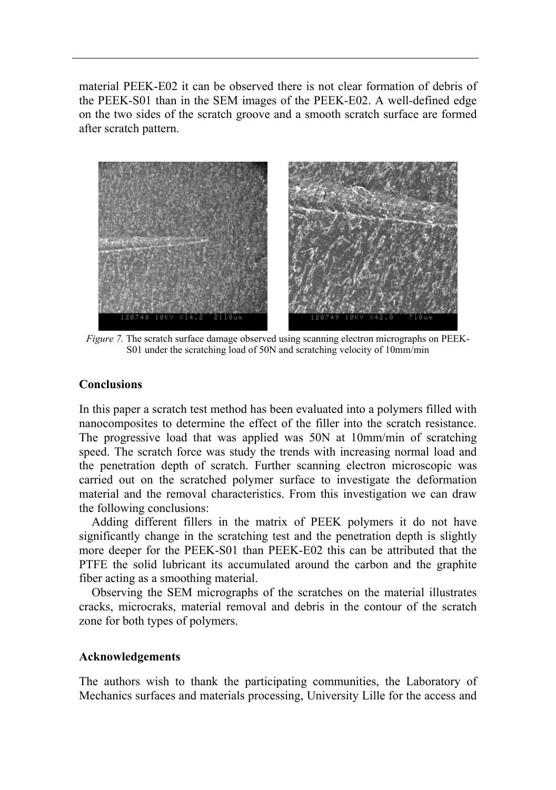material PEEK-E02 it can be observed there is not clear formation of debris of the PEEK-S01 than in the SEM images of the PEEK-E02. A well-defined edge on the two sides of the scratch groove and a smooth scratch surface are formed after scratch pattern.



*Figure 7.* The scratch surface damage observed using scanning electron micrographs on PEEK-S01 under the scratching load of 50N and scratching velocity of 10mm/min

#### **Conclusions**

In this paper a scratch test method has been evaluated into a polymers filled with nanocomposites to determine the effect of the filler into the scratch resistance. The progressive load that was applied was 50N at 10mm/min of scratching speed. The scratch force was study the trends with increasing normal load and the penetration depth of scratch. Further scanning electron microscopic was carried out on the scratched polymer surface to investigate the deformation material and the removal characteristics. From this investigation we can draw the following conclusions:

Adding different fillers in the matrix of PEEK polymers it do not have significantly change in the scratching test and the penetration depth is slightly more deeper for the PEEK-S01 than PEEK-E02 this can be attributed that the PTFE the solid lubricant its accumulated around the carbon and the graphite fiber acting as a smoothing material.

Observing the SEM micrographs of the scratches on the material illustrates cracks, microcraks, material removal and debris in the contour of the scratch zone for both types of polymers.

#### **Acknowledgements**

The authors wish to thank the participating communities, the Laboratory of Mechanics surfaces and materials processing, University Lille for the access and